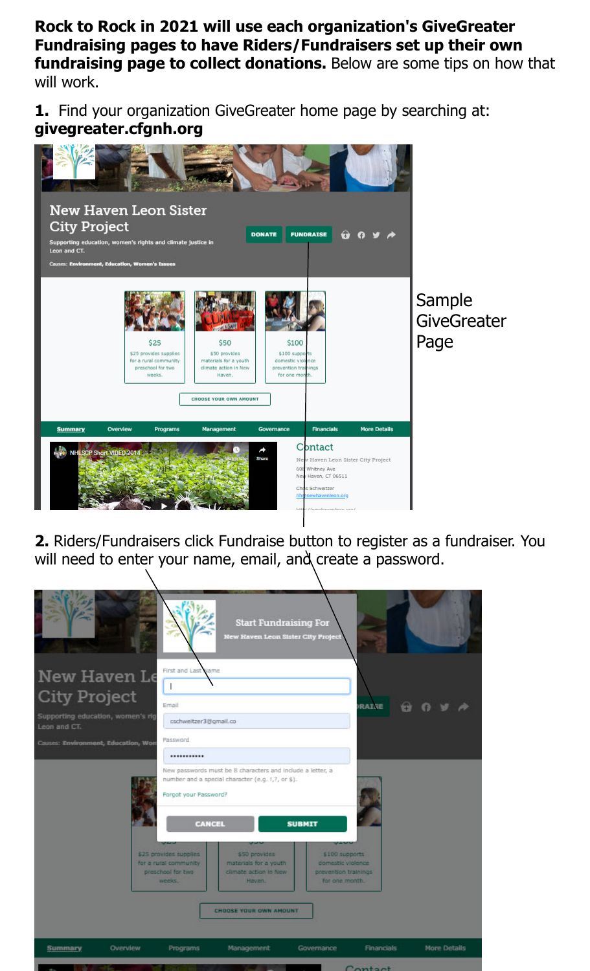**Rock to Rock in 2021 will use each organization's GiveGreater Fundraising pages to have Riders/Fundraisers set up their own fundraising page to collect donations.** Below are some tips on how that will work.

**1.** Find your organization GiveGreater home page by searching at: **givegreater.cfgnh.org**



**2.** Riders/Fundraisers click Fundraise button to register as a fundraiser. You will need to enter your name, email, and create a password.

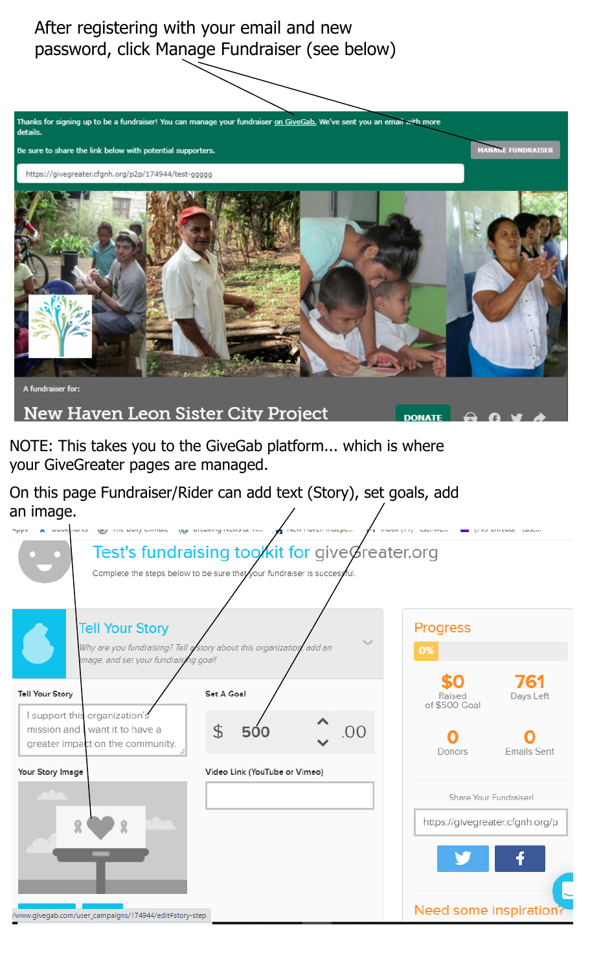After registering with your email and new password, click Manage Fundraiser (see below)



NOTE: This takes you to the GiveGab platform... which is where your GiveGreater pages are managed.

On this page Fundraiser/Rider can add text (Story), set goals, add an image.

| 795 TVCW THOUGH HIMPLIFT<br>the built countries and the company of the countries of the<br>DOORBINING                                   | The importance of the security and<br>triou university course. |
|-----------------------------------------------------------------------------------------------------------------------------------------|----------------------------------------------------------------|
| Test's fundraising tookit for give Greater.org<br>Complete the steps below to be sure that your fundraiser is successful.               |                                                                |
| <b>Tell Your Story</b><br>Why are you fundraising? Tell astory about this organization, add an<br>image, and set your fundraising goal! | Progress<br>0%                                                 |
| Set A Goal<br><b>Tell Your Story</b>                                                                                                    | 761<br>Days Left<br>Raised<br>of \$500 Goal                    |
| I support this organization's<br>mission and I want it to have a<br>\$<br>500<br>$\Gamma$<br>greater impact on the community.           | Emails Sent<br>Donors                                          |
| Your Story Image<br>Video Link (YouTube or Vimeo)                                                                                       |                                                                |
|                                                                                                                                         | Share Your Fundraiser!                                         |
|                                                                                                                                         | https://givegreater.cfgnh.org/p.                               |
|                                                                                                                                         |                                                                |
| /www.givegab.com/user_campaigns/174944/edit#story-step                                                                                  | Need some inspiration?                                         |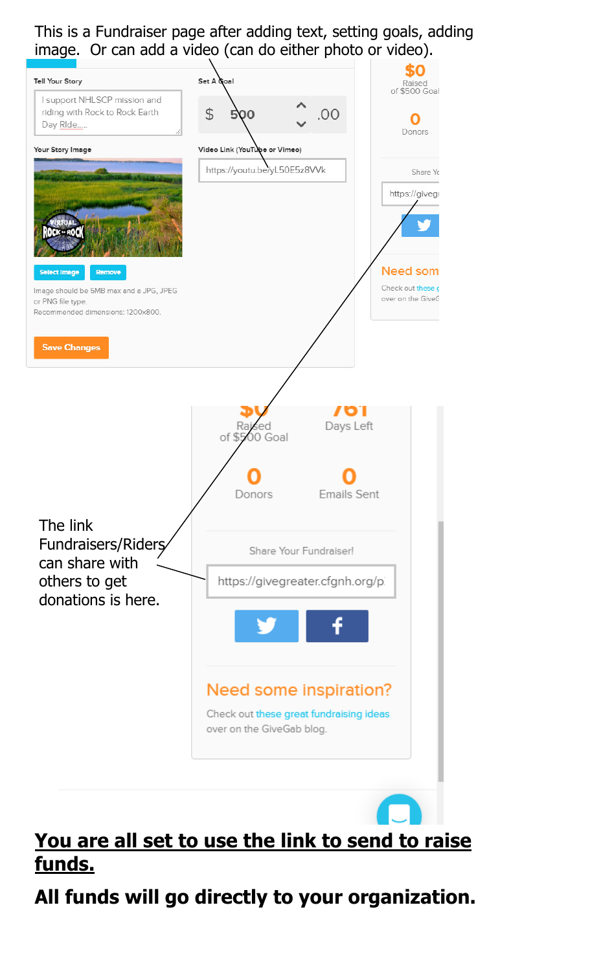This is a Fundraiser page after adding text, setting goals, adding image. Or can add a video (can do either photo or video).



## **You are all set to use the link to send to raise funds.**

**All funds will go directly to your organization.**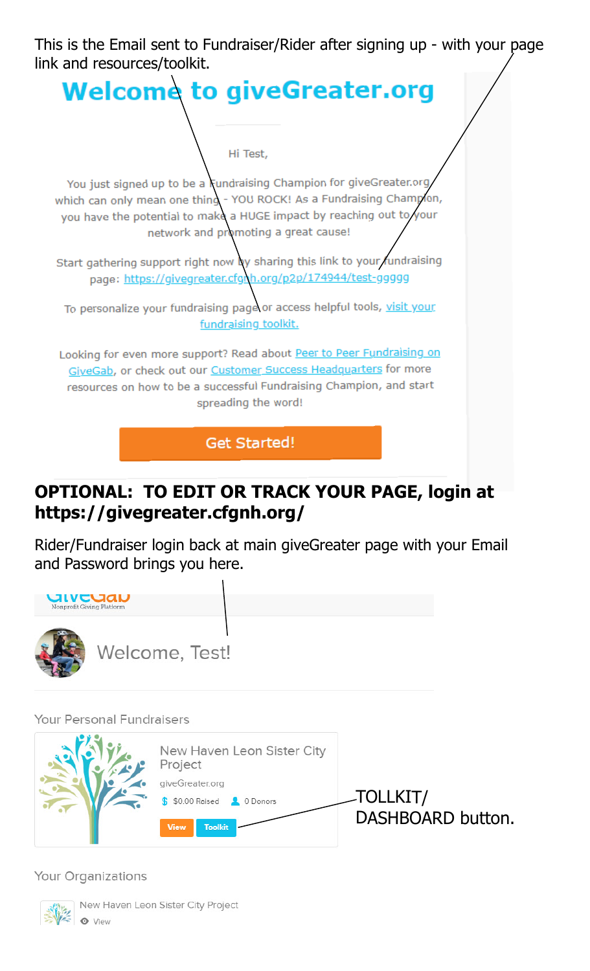This is the Email sent to Fundraiser/Rider after signing up - with your page link and resources/toolkit.



## **OPTIONAL: TO EDIT OR TRACK YOUR PAGE, login at https://givegreater.cfgnh.org/**

Rider/Fundraiser login back at main giveGreater page with your Email and Password brings you here.



Your Personal Fundraisers



Your Organizations



New Haven Leon Sister City Project **O** View